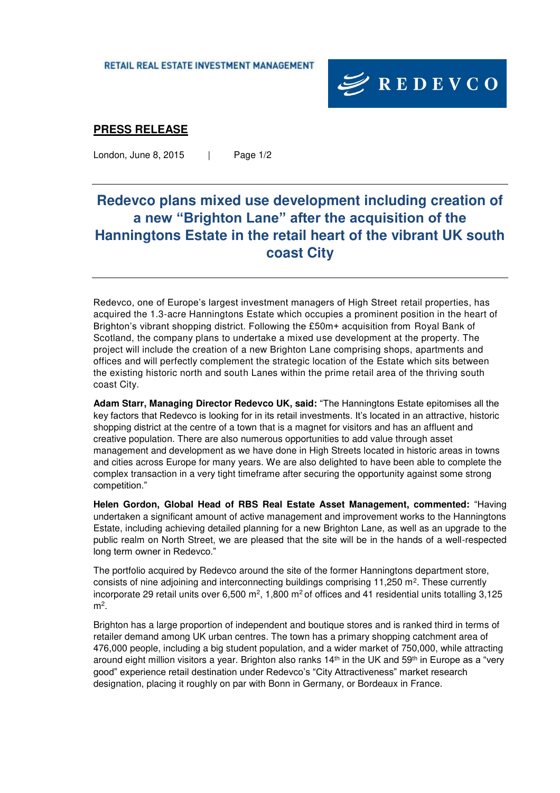RETAIL REAL ESTATE INVESTMENT MANAGEMENT



### **PRESS RELEASE**

London, June 8, 2015 | Page 1/2

# **Redevco plans mixed use development including creation of a new "Brighton Lane" after the acquisition of the Hanningtons Estate in the retail heart of the vibrant UK south coast City**

Redevco, one of Europe's largest investment managers of High Street retail properties, has acquired the 1.3-acre Hanningtons Estate which occupies a prominent position in the heart of Brighton's vibrant shopping district. Following the £50m+ acquisition from Royal Bank of Scotland, the company plans to undertake a mixed use development at the property. The project will include the creation of a new Brighton Lane comprising shops, apartments and offices and will perfectly complement the strategic location of the Estate which sits between the existing historic north and south Lanes within the prime retail area of the thriving south coast City.

**Adam Starr, Managing Director Redevco UK, said:** "The Hanningtons Estate epitomises all the key factors that Redevco is looking for in its retail investments. It's located in an attractive, historic shopping district at the centre of a town that is a magnet for visitors and has an affluent and creative population. There are also numerous opportunities to add value through asset management and development as we have done in High Streets located in historic areas in towns and cities across Europe for many years. We are also delighted to have been able to complete the complex transaction in a very tight timeframe after securing the opportunity against some strong competition."

**Helen Gordon, Global Head of RBS Real Estate Asset Management, commented:** "Having undertaken a significant amount of active management and improvement works to the Hanningtons Estate, including achieving detailed planning for a new Brighton Lane, as well as an upgrade to the public realm on North Street, we are pleased that the site will be in the hands of a well-respected long term owner in Redevco."

The portfolio acquired by Redevco around the site of the former Hanningtons department store, consists of nine adjoining and interconnecting buildings comprising  $11,250$  m<sup>2</sup>. These currently incorporate 29 retail units over 6,500 m<sup>2</sup>, 1,800 m<sup>2</sup> of offices and 41 residential units totalling 3,125 m<sup>2</sup> .

Brighton has a large proportion of independent and boutique stores and is ranked third in terms of retailer demand among UK urban centres. The town has a primary shopping catchment area of 476,000 people, including a big student population, and a wider market of 750,000, while attracting around eight million visitors a year. Brighton also ranks 14<sup>th</sup> in the UK and 59<sup>th</sup> in Europe as a "very good" experience retail destination under Redevco's "City Attractiveness" market research designation, placing it roughly on par with Bonn in Germany, or Bordeaux in France.